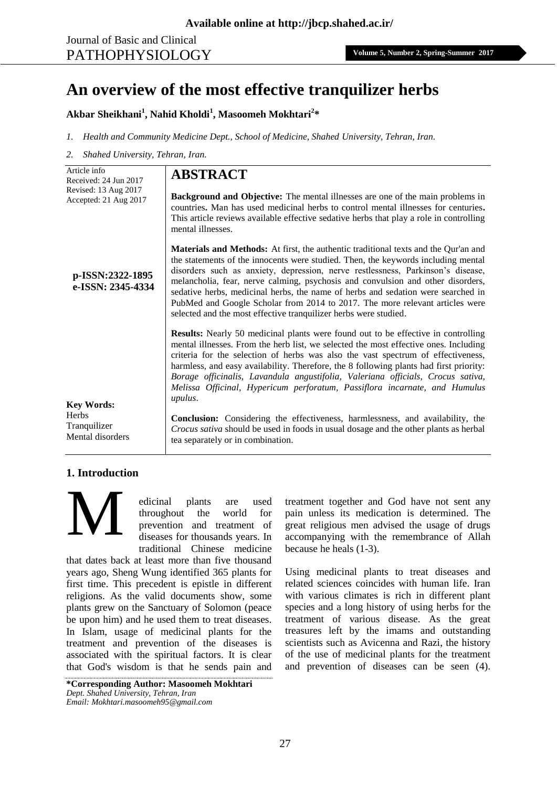# **An overview of the most effective tranquilizer herbs**

# **Akbar Sheikhani<sup>1</sup> , Nahid Kholdi<sup>1</sup> , Masoomeh Mokhtari<sup>2</sup> \***

- *1. Health and Community Medicine Dept., School of Medicine, Shahed University, Tehran, Iran.*
- *2. Shahed University, Tehran, Iran.*

| Article info<br>Received: 24 Jun 2017                                 | <b>ABSTRACT</b>                                                                                                                                                                                                                                                                                                                                                                                                                                                                                                                                                                               |
|-----------------------------------------------------------------------|-----------------------------------------------------------------------------------------------------------------------------------------------------------------------------------------------------------------------------------------------------------------------------------------------------------------------------------------------------------------------------------------------------------------------------------------------------------------------------------------------------------------------------------------------------------------------------------------------|
| Revised: 13 Aug 2017<br>Accepted: 21 Aug 2017                         | <b>Background and Objective:</b> The mental illnesses are one of the main problems in<br>countries. Man has used medicinal herbs to control mental illnesses for centuries.<br>This article reviews available effective sedative herbs that play a role in controlling<br>mental illnesses.                                                                                                                                                                                                                                                                                                   |
| p-ISSN:2322-1895<br>e-ISSN: 2345-4334                                 | <b>Materials and Methods:</b> At first, the authentic traditional texts and the Qur'an and<br>the statements of the innocents were studied. Then, the keywords including mental<br>disorders such as anxiety, depression, nerve restlessness, Parkinson's disease,<br>melancholia, fear, nerve calming, psychosis and convulsion and other disorders,<br>sedative herbs, medicinal herbs, the name of herbs and sedation were searched in<br>PubMed and Google Scholar from 2014 to 2017. The more relevant articles were<br>selected and the most effective tranquilizer herbs were studied. |
|                                                                       | <b>Results:</b> Nearly 50 medicinal plants were found out to be effective in controlling<br>mental illnesses. From the herb list, we selected the most effective ones. Including<br>criteria for the selection of herbs was also the vast spectrum of effectiveness,<br>harmless, and easy availability. Therefore, the 8 following plants had first priority:<br>Borage officinalis, Lavandula angustifolia, Valeriana officials, Crocus sativa,<br>Melissa Officinal, Hypericum perforatum, Passiflora incarnate, and Humulus<br>upulus.                                                    |
| <b>Key Words:</b><br><b>Herbs</b><br>Tranquilizer<br>Mental disorders | <b>Conclusion:</b> Considering the effectiveness, harmlessness, and availability, the<br><i>Crocus sativa</i> should be used in foods in usual dosage and the other plants as herbal<br>tea separately or in combination.                                                                                                                                                                                                                                                                                                                                                                     |

## **1. Introduction**

M

edicinal plants are used throughout the world for prevention and treatment of diseases for thousands years. In traditional Chinese medicine

that dates back at least more than five thousand years ago, Sheng Wung identified 365 plants for first time. This precedent is epistle in different religions. As the valid documents show, some plants grew on the Sanctuary of Solomon (peace be upon him) and he used them to treat diseases. In Islam, usage of medicinal plants for the treatment and prevention of the diseases is associated with the spiritual factors. It is clear that God's wisdom is that he sends pain and

**\*Corresponding Author: Masoomeh Mokhtari** *Dept. Shahed University, Tehran, Iran Email: [Mokhtari.masoomeh95@gmail.com](mailto:Mokhtari.masoomeh95@gmail.com)*

treatment together and God have not sent any pain unless its medication is determined. The great religious men advised the usage of drugs accompanying with the remembrance of Allah because he heals (1-3).

Using medicinal plants to treat diseases and related sciences coincides with human life. Iran with various climates is rich in different plant species and a long history of using herbs for the treatment of various disease. As the great treasures left by the imams and outstanding scientists such as Avicenna and Razi, the history of the use of medicinal plants for the treatment and prevention of diseases can be seen (4).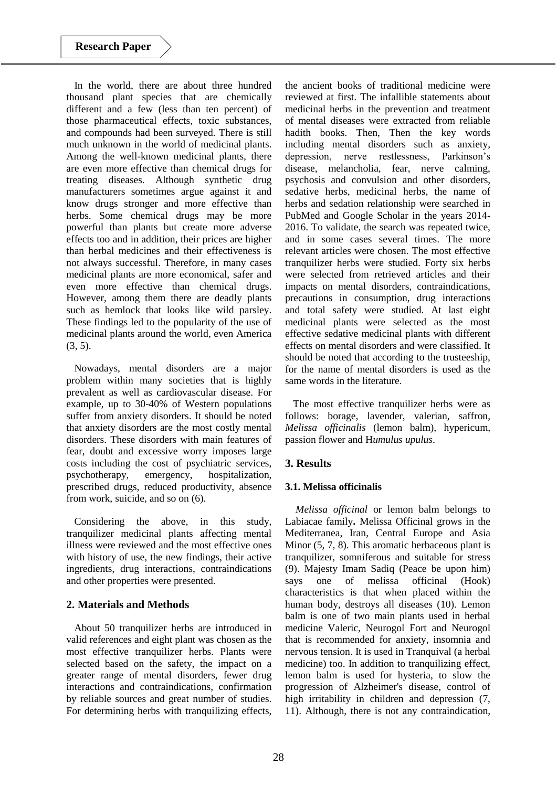In the world, there are about three hundred thousand plant species that are chemically different and a few (less than ten percent) of those pharmaceutical effects, toxic substances, and compounds had been surveyed. There is still much unknown in the world of medicinal plants. Among the well-known medicinal plants, there are even more effective than chemical drugs for treating diseases. Although synthetic drug manufacturers sometimes argue against it and know drugs stronger and more effective than herbs. Some chemical drugs may be more powerful than plants but create more adverse effects too and in addition, their prices are higher than herbal medicines and their effectiveness is not always successful. Therefore, in many cases medicinal plants are more economical, safer and even more effective than chemical drugs. However, among them there are deadly plants such as hemlock that looks like wild parsley. These findings led to the popularity of the use of medicinal plants around the world, even America (3, 5).

Nowadays, mental disorders are a major problem within many societies that is highly prevalent as well as cardiovascular disease. For example, up to 30-40% of Western populations suffer from anxiety disorders. It should be noted that anxiety disorders are the most costly mental disorders. These disorders with main features of fear, doubt and excessive worry imposes large costs including the cost of psychiatric services, psychotherapy, emergency, hospitalization, prescribed drugs, reduced productivity, absence from work, suicide, and so on (6).

Considering the above, in this study, tranquilizer medicinal plants affecting mental illness were reviewed and the most effective ones with history of use, the new findings, their active ingredients, drug interactions, contraindications and other properties were presented.

# **2. Materials and Methods**

About 50 tranquilizer herbs are introduced in valid references and eight plant was chosen as the most effective tranquilizer herbs. Plants were selected based on the safety, the impact on a greater range of mental disorders, fewer drug interactions and contraindications, confirmation by reliable sources and great number of studies. For determining herbs with tranquilizing effects,

the ancient books of traditional medicine were reviewed at first. The infallible statements about medicinal herbs in the prevention and treatment of mental diseases were extracted from reliable hadith books. Then, Then the key words including mental disorders such as anxiety, depression, nerve restlessness, Parkinson's disease, melancholia, fear, nerve calming, psychosis and convulsion and other disorders, sedative herbs, medicinal herbs, the name of herbs and sedation relationship were searched in PubMed and Google Scholar in the years 2014- 2016. To validate, the search was repeated twice, and in some cases several times. The more relevant articles were chosen. The most effective tranquilizer herbs were studied. Forty six herbs were selected from retrieved articles and their impacts on mental disorders, contraindications, precautions in consumption, drug interactions and total safety were studied. At last eight medicinal plants were selected as the most effective sedative medicinal plants with different effects on mental disorders and were classified. It should be noted that according to the trusteeship, for the name of mental disorders is used as the same words in the literature.

The most effective tranquilizer herbs were as follows: borage, lavender, valerian, saffron, *Melissa officinalis* (lemon balm), hypericum, passion flower and H*umulus upulus*.

# **3. Results**

## **3.1. Melissa officinalis**

*Melissa officinal* or lemon balm belongs to Labiacae family**.** Melissa Officinal grows in the Mediterranea, Iran, Central Europe and Asia Minor  $(5, 7, 8)$ . This aromatic herbaceous plant is tranquilizer, somniferous and suitable for stress (9). Majesty Imam Sadiq (Peace be upon him) says one of melissa officinal (Hook) characteristics is that when placed within the human body, destroys all diseases (10). Lemon balm is one of two main plants used in herbal medicine Valeric, Neurogol Fort and Neurogol that is recommended for anxiety, insomnia and nervous tension. It is used in Tranquival (a herbal medicine) too. In addition to tranquilizing effect, lemon balm is used for hysteria, to slow the progression of Alzheimer's disease, control of high irritability in children and depression  $(7, 7)$ 11). Although, there is not any contraindication,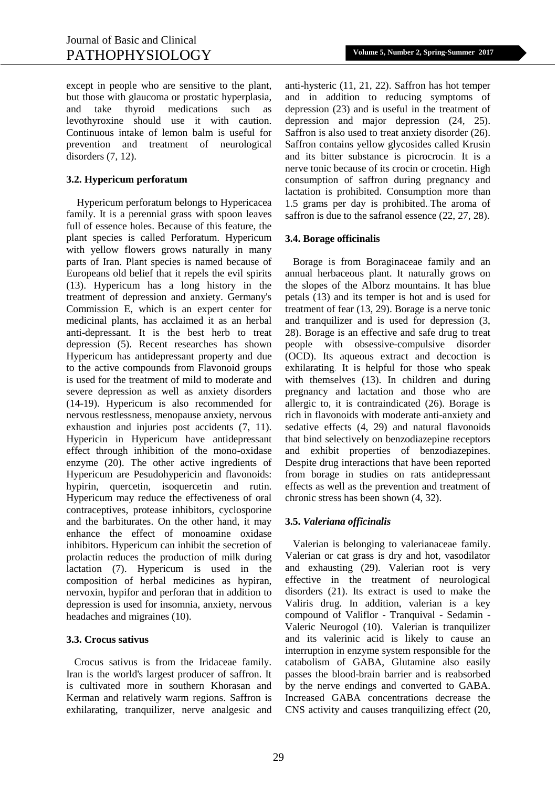except in people who are sensitive to the plant, but those with glaucoma or prostatic hyperplasia, and take thyroid medications such as levothyroxine should use it with caution. Continuous intake of lemon balm is useful for prevention and treatment of neurological disorders (7, 12).

#### **3.2. Hypericum perforatum**

Hypericum perforatum belongs to Hypericacea family. It is a perennial grass with spoon leaves full of essence holes. Because of this feature, the plant species is called Perforatum. Hypericum with yellow flowers grows naturally in many parts of Iran. Plant species is named because of Europeans old belief that it repels the evil spirits (13). Hypericum has a long history in the treatment of depression and anxiety. Germany's Commission E, which is an expert center for medicinal plants, has acclaimed it as an herbal anti-depressant. It is the best herb to treat depression (5). Recent researches has shown Hypericum has antidepressant property and due to the active compounds from Flavonoid groups is used for the treatment of mild to moderate and severe depression as well as anxiety disorders (14-19). Hypericum is also recommended for nervous restlessness, menopause anxiety, nervous exhaustion and injuries post accidents (7, 11). Hypericin in Hypericum have antidepressant effect through inhibition of the mono-oxidase enzyme (20). The other active ingredients of Hypericum are Pesudohypericin and flavonoids: hypirin, quercetin, isoquercetin and rutin. Hypericum may reduce the effectiveness of oral contraceptives, protease inhibitors, cyclosporine and the barbiturates. On the other hand, it may enhance the effect of monoamine oxidase inhibitors. Hypericum can inhibit the secretion of prolactin reduces the production of milk during lactation (7). Hypericum is used in the composition of herbal medicines as hypiran, nervoxin, hypifor and perforan that in addition to depression is used for insomnia, anxiety, nervous headaches and migraines (10).

#### **3.3. Crocus sativus**

Crocus sativus is from the Iridaceae family. Iran is the world's largest producer of saffron. It is cultivated more in southern Khorasan and Kerman and relatively warm regions. Saffron is exhilarating, tranquilizer, nerve analgesic and

anti-hysteric (11, 21, 22). Saffron has hot temper and in addition to reducing symptoms of depression (23) and is useful in the treatment of depression and major depression (24, 25). Saffron is also used to treat anxiety disorder (26). Saffron contains yellow glycosides called Krusin and its bitter substance is picrocrocin. It is a nerve tonic because of its crocin or crocetin. High consumption of saffron during pregnancy and lactation is prohibited. Consumption more than 1.5 grams per day is prohibited..The aroma of saffron is due to the safranol essence (22, 27, 28).

#### **3.4. Borage officinalis**

Borage is from Boraginaceae family and an annual herbaceous plant. It naturally grows on the slopes of the Alborz mountains. It has blue petals (13) and its temper is hot and is used for treatment of fear (13, 29). Borage is a nerve tonic and tranquilizer and is used for depression (3, 28). Borage is an effective and safe drug to treat people with obsessive-compulsive disorder (OCD). Its aqueous extract and decoction is exhilarating. It is helpful for those who speak with themselves (13). In children and during pregnancy and lactation and those who are allergic to, it is contraindicated (26). Borage is rich in flavonoids with moderate anti-anxiety and sedative effects (4, 29) and natural flavonoids that bind selectively on benzodiazepine receptors and exhibit properties of benzodiazepines. Despite drug interactions that have been reported from borage in studies on rats antidepressant effects as well as the prevention and treatment of chronic stress has been shown (4, 32).

## **3.5.** *Valeriana officinalis*

Valerian is belonging to valerianaceae family. Valerian or cat grass is dry and hot, vasodilator and exhausting (29). Valerian root is very effective in the treatment of neurological disorders (21). Its extract is used to make the Valiris drug. In addition, valerian is a key compound of Valiflor - Tranquival - Sedamin - Valeric Neurogol (10). Valerian is tranquilizer and its valerinic acid is likely to cause an interruption in enzyme system responsible for the catabolism of GABA, Glutamine also easily passes the blood-brain barrier and is reabsorbed by the nerve endings and converted to GABA. Increased GABA concentrations decrease the CNS activity and causes tranquilizing effect (20,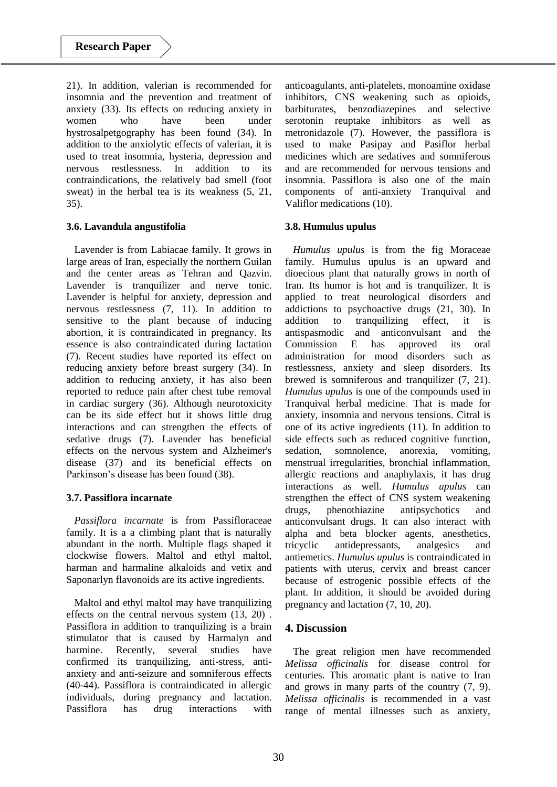21). In addition, valerian is recommended for insomnia and the prevention and treatment of anxiety (33). Its effects on reducing anxiety in women who have been under hystrosalpetgography has been found (34). In addition to the anxiolytic effects of valerian, it is used to treat insomnia, hysteria, depression and nervous restlessness. In addition to its contraindications, the relatively bad smell (foot sweat) in the herbal tea is its weakness (5, 21, 35).

## **3.6. Lavandula angustifolia**

Lavender is from Labiacae family. It grows in large areas of Iran, especially the northern Guilan and the center areas as Tehran and Qazvin. Lavender is tranquilizer and nerve tonic. Lavender is helpful for anxiety, depression and nervous restlessness (7, 11). In addition to sensitive to the plant because of inducing abortion, it is contraindicated in pregnancy. Its essence is also contraindicated during lactation (7). Recent studies have reported its effect on reducing anxiety before breast surgery (34). In addition to reducing anxiety, it has also been reported to reduce pain after chest tube removal in cardiac surgery (36). Although neurotoxicity can be its side effect but it shows little drug interactions and can strengthen the effects of sedative drugs (7). Lavender has beneficial effects on the nervous system and Alzheimer's disease (37) and its beneficial effects on Parkinson's disease has been found (38).

## **3.7. Passiflora incarnate**

*Passiflora incarnate* is from Passifloraceae family. It is a a climbing plant that is naturally abundant in the north. Multiple flags shaped it clockwise flowers. Maltol and ethyl maltol, harman and harmaline alkaloids and vetix and Saponarlyn flavonoids are its active ingredients.

Maltol and ethyl maltol may have tranquilizing effects on the central nervous system (13, 20) . Passiflora in addition to tranquilizing is a brain stimulator that is caused by Harmalyn and harmine. Recently, several studies have confirmed its tranquilizing, anti-stress, antianxiety and anti-seizure and somniferous effects (40-44). Passiflora is contraindicated in allergic individuals, during pregnancy and lactation. Passiflora has drug interactions with

anticoagulants, anti-platelets, monoamine oxidase inhibitors, CNS weakening such as opioids, barbiturates, benzodiazepines and selective serotonin reuptake inhibitors as well as metronidazole (7). However, the passiflora is used to make Pasipay and Pasiflor herbal medicines which are sedatives and somniferous and are recommended for nervous tensions and insomnia. Passiflora is also one of the main components of anti-anxiety Tranquival and Valiflor medications (10).

# **3.8. Humulus upulus**

*Humulus upulus* is from the fig Moraceae family. Humulus upulus is an upward and dioecious plant that naturally grows in north of Iran. Its humor is hot and is tranquilizer. It is applied to treat neurological disorders and addictions to psychoactive drugs (21, 30). In addition to tranquilizing effect, it is antispasmodic and anticonvulsant and the Commission E has approved its oral administration for mood disorders such as restlessness, anxiety and sleep disorders. Its brewed is somniferous and tranquilizer (7, 21). *Humulus upulus* is one of the compounds used in Tranquival herbal medicine. That is made for anxiety, insomnia and nervous tensions. Citral is one of its active ingredients (11). In addition to side effects such as reduced cognitive function, sedation, somnolence, anorexia, vomiting, menstrual irregularities, bronchial inflammation, allergic reactions and anaphylaxis, it has drug interactions as well. *Humulus upulus* can strengthen the effect of CNS system weakening drugs, phenothiazine antipsychotics and anticonvulsant drugs. It can also interact with alpha and beta blocker agents, anesthetics, tricyclic antidepressants, analgesics and antiemetics. *Humulus upulus* is contraindicated in patients with uterus, cervix and breast cancer because of estrogenic possible effects of the plant. In addition, it should be avoided during pregnancy and lactation (7, 10, 20).

# **4. Discussion**

The great religion men have recommended *Melissa officinalis* for disease control for centuries. This aromatic plant is native to Iran and grows in many parts of the country (7, 9). *Melissa officinalis* is recommended in a vast range of mental illnesses such as anxiety,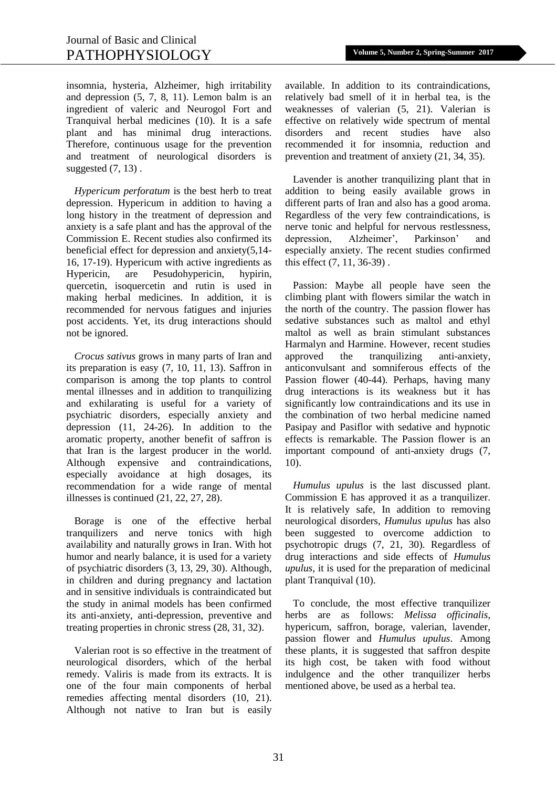insomnia, hysteria, Alzheimer, high irritability and depression (5, 7, 8, 11). Lemon balm is an ingredient of valeric and Neurogol Fort and Tranquival herbal medicines (10). It is a safe plant and has minimal drug interactions. Therefore, continuous usage for the prevention and treatment of neurological disorders is suggested  $(7, 13)$ .

*Hypericum perforatum* is the best herb to treat depression. Hypericum in addition to having a long history in the treatment of depression and anxiety is a safe plant and has the approval of the Commission E. Recent studies also confirmed its beneficial effect for depression and anxiety(5,14- 16, 17-19). Hypericum with active ingredients as Hypericin, are Pesudohypericin, hypirin, quercetin, isoquercetin and rutin is used in making herbal medicines. In addition, it is recommended for nervous fatigues and injuries post accidents. Yet, its drug interactions should not be ignored.

*Crocus sativus* grows in many parts of Iran and its preparation is easy (7, 10, 11, 13). Saffron in comparison is among the top plants to control mental illnesses and in addition to tranquilizing and exhilarating is useful for a variety of psychiatric disorders, especially anxiety and depression (11, 24-26). In addition to the aromatic property, another benefit of saffron is that Iran is the largest producer in the world. Although expensive and contraindications, especially avoidance at high dosages, its recommendation for a wide range of mental illnesses is continued (21, 22, 27, 28).

Borage is one of the effective herbal tranquilizers and nerve tonics with high availability and naturally grows in Iran. With hot humor and nearly balance, it is used for a variety of psychiatric disorders (3, 13, 29, 30). Although, in children and during pregnancy and lactation and in sensitive individuals is contraindicated but the study in animal models has been confirmed its anti-anxiety, anti-depression, preventive and treating properties in chronic stress (28, 31, 32).

Valerian root is so effective in the treatment of neurological disorders, which of the herbal remedy. Valiris is made from its extracts. It is one of the four main components of herbal remedies affecting mental disorders (10, 21). Although not native to Iran but is easily

available. In addition to its contraindications, relatively bad smell of it in herbal tea, is the weaknesses of valerian (5, 21). Valerian is effective on relatively wide spectrum of mental disorders and recent studies have also recommended it for insomnia, reduction and prevention and treatment of anxiety (21, 34, 35).

Lavender is another tranquilizing plant that in addition to being easily available grows in different parts of Iran and also has a good aroma. Regardless of the very few contraindications, is nerve tonic and helpful for nervous restlessness, depression, Alzheimer', Parkinson' and especially anxiety. The recent studies confirmed this effect (7, 11, 36-39) .

Passion: Maybe all people have seen the climbing plant with flowers similar the watch in the north of the country. The passion flower has sedative substances such as maltol and ethyl maltol as well as brain stimulant substances Harmalyn and Harmine. However, recent studies approved the tranquilizing anti-anxiety, anticonvulsant and somniferous effects of the Passion flower (40-44). Perhaps, having many drug interactions is its weakness but it has significantly low contraindications and its use in the combination of two herbal medicine named Pasipay and Pasiflor with sedative and hypnotic effects is remarkable. The Passion flower is an important compound of anti-anxiety drugs (7, 10).

*Humulus upulus* is the last discussed plant. Commission E has approved it as a tranquilizer. It is relatively safe, In addition to removing neurological disorders, *Humulus upulus* has also been suggested to overcome addiction to psychotropic drugs (7, 21, 30). Regardless of drug interactions and side effects of *Humulus upulus*, it is used for the preparation of medicinal plant Tranquival (10).

To conclude, the most effective tranquilizer herbs are as follows: *Melissa officinalis*, hypericum, saffron, borage, valerian, lavender, passion flower and *Humulus upulus*. Among these plants, it is suggested that saffron despite its high cost, be taken with food without indulgence and the other tranquilizer herbs mentioned above, be used as a herbal tea.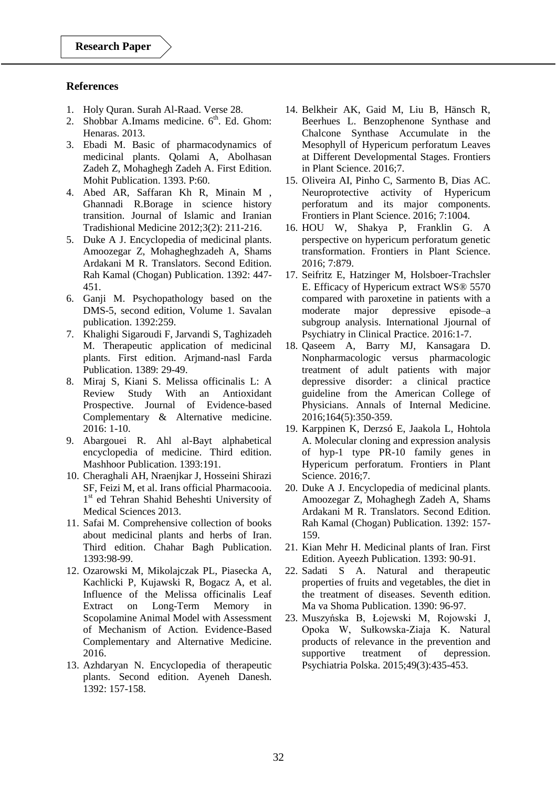## **References**

- 1. Holy Quran. Surah Al-Raad. Verse 28.
- 2. Shobbar A.Imams medicine.  $6<sup>th</sup>$ . Ed. Ghom: Henaras. 2013.
- 3. Ebadi M. Basic of pharmacodynamics of medicinal plants. Qolami A, Abolhasan Zadeh Z, Mohaghegh Zadeh A. First Edition. Mohit Publication. 1393. P:60.
- 4. Abed AR, Saffaran Kh R, Minain M , Ghannadi R.Borage in science history transition. Journal of Islamic and Iranian Tradishional Medicine 2012;3(2): 211-216.
- 5. Duke A J. Encyclopedia of medicinal plants. Amoozegar Z, Mohagheghzadeh A, Shams Ardakani M R. Translators. Second Edition. Rah Kamal (Chogan) Publication. 1392: 447- 451.
- 6. Ganji M. Psychopathology based on the DMS-5, second edition, Volume 1. Savalan publication. 1392:259.
- 7. Khalighi Sigaroudi F, Jarvandi S, Taghizadeh M. Therapeutic application of medicinal plants. First edition. Arjmand-nasl Farda Publication. 1389: 29-49.
- 8. Miraj S, Kiani S. Melissa officinalis L: A Review Study With an Antioxidant Prospective. Journal of Evidence-based Complementary & Alternative medicine. 2016: 1-10.
- 9. Abargouei R. Ahl al-Bayt alphabetical encyclopedia of medicine. Third edition. Mashhoor Publication. 1393:191.
- 10. Cheraghali AH, Nraenjkar J, Hosseini Shirazi SF, Feizi M, et al. Irans official Pharmacooia. 1 st ed Tehran Shahid Beheshti University of Medical Sciences 2013.
- 11. Safai M. Comprehensive collection of books about medicinal plants and herbs of Iran. Third edition. Chahar Bagh Publication. 1393:98-99.
- 12. Ozarowski M, Mikolajczak PL, Piasecka A, Kachlicki P, Kujawski R, Bogacz A, et al. Influence of the Melissa officinalis Leaf Extract on Long-Term Memory in Scopolamine Animal Model with Assessment of Mechanism of Action. Evidence-Based Complementary and Alternative Medicine. 2016.
- 13. Azhdaryan N. Encyclopedia of therapeutic plants. Second edition. Ayeneh Danesh. 1392: 157-158.
- 14. Belkheir AK, Gaid M, Liu B, Hänsch R, Beerhues L. Benzophenone Synthase and Chalcone Synthase Accumulate in the Mesophyll of Hypericum perforatum Leaves at Different Developmental Stages. Frontiers in Plant Science. 2016;7.
- 15. Oliveira AI, Pinho C, Sarmento B, Dias AC. Neuroprotective activity of Hypericum perforatum and its major components. Frontiers in Plant Science. 2016; 7:1004.
- 16. HOU W, Shakya P, Franklin G. A perspective on hypericum perforatum genetic transformation. Frontiers in Plant Science. 2016; 7:879.
- 17. Seifritz E, Hatzinger M, Holsboer-Trachsler E. Efficacy of Hypericum extract WS® 5570 compared with paroxetine in patients with a moderate major depressive episode–a subgroup analysis. International Jjournal of Psychiatry in Clinical Practice. 2016:1-7.
- 18. Qaseem A, Barry MJ, Kansagara D. Nonpharmacologic versus pharmacologic treatment of adult patients with major depressive disorder: a clinical practice guideline from the American College of Physicians. Annals of Internal Medicine. 2016;164(5):350-359.
- 19. Karppinen K, Derzsó E, Jaakola L, Hohtola A. Molecular cloning and expression analysis of hyp-1 type PR-10 family genes in Hypericum perforatum. Frontiers in Plant Science. 2016;7.
- 20. Duke A J. Encyclopedia of medicinal plants. Amoozegar Z, Mohaghegh Zadeh A, Shams Ardakani M R. Translators. Second Edition. Rah Kamal (Chogan) Publication. 1392: 157- 159.
- 21. Kian Mehr H. Medicinal plants of Iran. First Edition. Ayeezh Publication. 1393: 90-91.
- 22. Sadati S A. Natural and therapeutic properties of fruits and vegetables, the diet in the treatment of diseases. Seventh edition. Ma va Shoma Publication. 1390: 96-97.
- 23. Muszyńska B, Łojewski M, Rojowski J, Opoka W, Sułkowska-Ziaja K. Natural products of relevance in the prevention and supportive treatment of depression. Psychiatria Polska. 2015;49(3):435-453.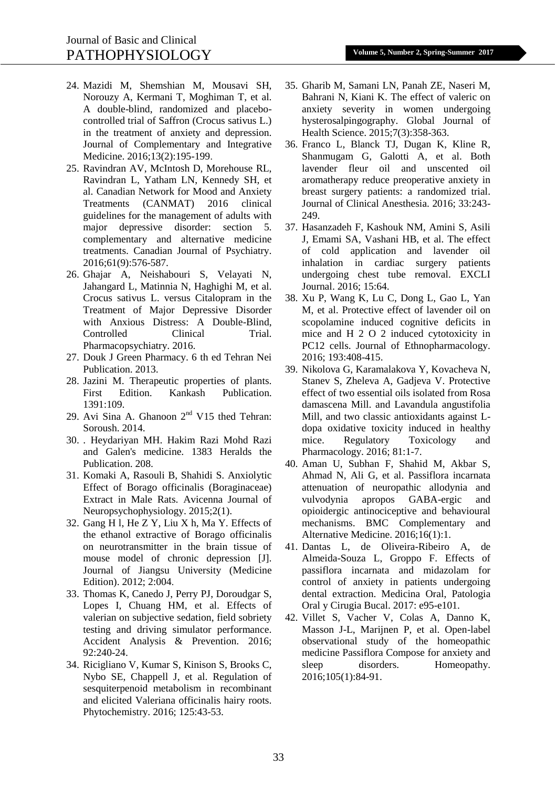- 24. Mazidi M, Shemshian M, Mousavi SH, Norouzy A, Kermani T, Moghiman T, et al. A double-blind, randomized and placebocontrolled trial of Saffron (Crocus sativus L.) in the treatment of anxiety and depression. Journal of Complementary and Integrative Medicine. 2016;13(2):195-199.
- 25. Ravindran AV, McIntosh D, Morehouse RL, Ravindran L, Yatham LN, Kennedy SH, et al. Canadian Network for Mood and Anxiety Treatments (CANMAT) 2016 clinical guidelines for the management of adults with major depressive disorder: section 5. complementary and alternative medicine treatments. Canadian Journal of Psychiatry. 2016;61(9):576-587.
- 26. Ghajar A, Neishabouri S, Velayati N, Jahangard L, Matinnia N, Haghighi M, et al. Crocus sativus L. versus Citalopram in the Treatment of Major Depressive Disorder with Anxious Distress: A Double-Blind, Controlled Clinical Trial. Pharmacopsychiatry. 2016.
- 27. Douk J Green Pharmacy. 6 th ed Tehran Nei Publication. 2013.
- 28. Jazini M. Therapeutic properties of plants. First Edition. Kankash Publication. 1391:109.
- 29. Avi Sina A. Ghanoon  $2<sup>nd</sup>$  V15 thed Tehran: Soroush. 2014.
- 30. . Heydariyan MH. Hakim Razi Mohd Razi and Galen's medicine. 1383 Heralds the Publication. 208.
- 31. Komaki A, Rasouli B, Shahidi S. Anxiolytic Effect of Borago officinalis (Boraginaceae) Extract in Male Rats. Avicenna Journal of Neuropsychophysiology. 2015;2(1).
- 32. Gang H l, He Z Y, Liu X h, Ma Y. Effects of the ethanol extractive of Borago officinalis on neurotransmitter in the brain tissue of mouse model of chronic depression [J]. Journal of Jiangsu University (Medicine Edition). 2012; 2:004.
- 33. Thomas K, Canedo J, Perry PJ, Doroudgar S, Lopes I, Chuang HM, et al. Effects of valerian on subjective sedation, field sobriety testing and driving simulator performance. Accident Analysis & Prevention. 2016; 92:240-24.
- 34. Ricigliano V, Kumar S, Kinison S, Brooks C, Nybo SE, Chappell J, et al. Regulation of sesquiterpenoid metabolism in recombinant and elicited Valeriana officinalis hairy roots. Phytochemistry. 2016; 125:43-53.
- 35. Gharib M, Samani LN, Panah ZE, Naseri M, Bahrani N, Kiani K. The effect of valeric on anxiety severity in women undergoing hysterosalpingography. Global Journal of Health Science. 2015;7(3):358-363.
- 36. Franco L, Blanck TJ, Dugan K, Kline R, Shanmugam G, Galotti A, et al. Both lavender fleur oil and unscented oil aromatherapy reduce preoperative anxiety in breast surgery patients: a randomized trial. Journal of Clinical Anesthesia. 2016; 33:243- 249.
- 37. Hasanzadeh F, Kashouk NM, Amini S, Asili J, Emami SA, Vashani HB, et al. The effect of cold application and lavender oil inhalation in cardiac surgery patients undergoing chest tube removal. EXCLI Journal. 2016; 15:64.
- 38. Xu P, Wang K, Lu C, Dong L, Gao L, Yan M, et al. Protective effect of lavender oil on scopolamine induced cognitive deficits in mice and H 2 O 2 induced cytotoxicity in PC12 cells. Journal of Ethnopharmacology. 2016; 193:408-415.
- 39. Nikolova G, Karamalakova Y, Kovacheva N, Stanev S, Zheleva A, Gadjeva V. Protective effect of two essential oils isolated from Rosa damascena Mill. and Lavandula angustifolia Mill, and two classic antioxidants against Ldopa oxidative toxicity induced in healthy mice. Regulatory Toxicology and Pharmacology. 2016; 81:1-7.
- 40. Aman U, Subhan F, Shahid M, Akbar S, Ahmad N, Ali G, et al. Passiflora incarnata attenuation of neuropathic allodynia and vulvodynia apropos GABA-ergic and opioidergic antinociceptive and behavioural mechanisms. BMC Complementary and Alternative Medicine. 2016;16(1):1.
- 41. Dantas L, de Oliveira-Ribeiro A, de Almeida-Souza L, Groppo F. Effects of passiflora incarnata and midazolam for control of anxiety in patients undergoing dental extraction. Medicina Oral, Patologia Oral y Cirugia Bucal. 2017: e95-e101.
- 42. Villet S, Vacher V, Colas A, Danno K, Masson J-L, Marijnen P, et al. Open-label observational study of the homeopathic medicine Passiflora Compose for anxiety and sleep disorders. Homeopathy. 2016;105(1):84-91.